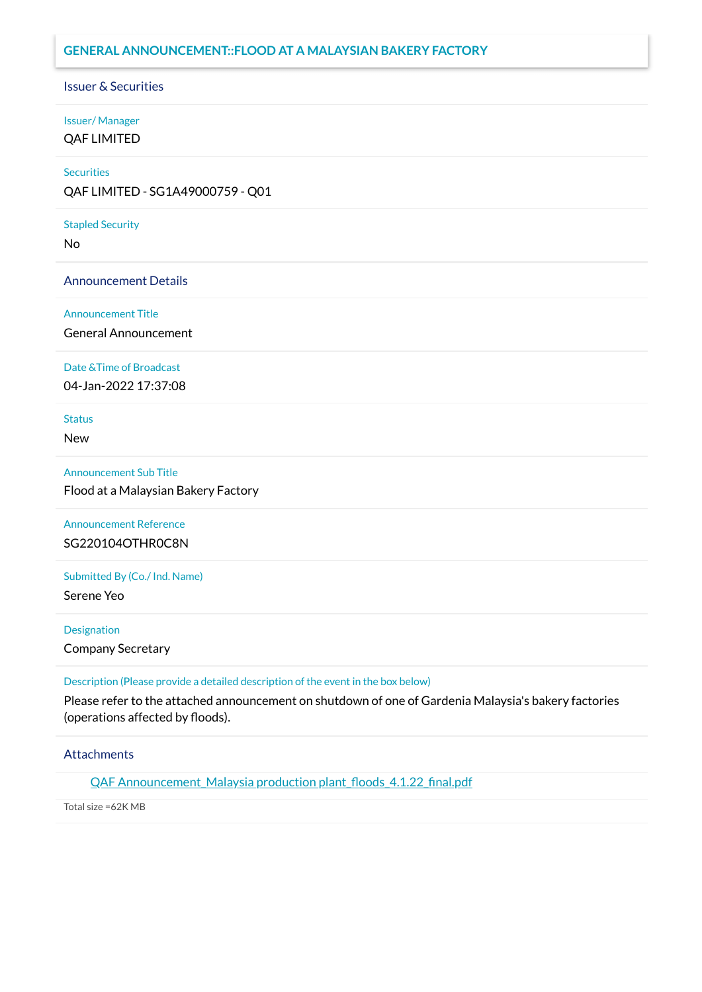# **GENERAL ANNOUNCEMENT::FLOOD AT A MALAYSIAN BAKERY FACTORY**

### Issuer & Securities

# Issuer/ Manager

QAF LIMITED

### **Securities**

QAF LIMITED - SG1A49000759 - Q01

### Stapled Security

No

### Announcement Details

### Announcement Title

General Announcement

### Date &Time of Broadcast

04-Jan-2022 17:37:08

# **Status**

New

### Announcement Sub Title

Flood at a Malaysian Bakery Factory

# Announcement Reference SG220104OTHR0C8N

Submitted By (Co./ Ind. Name)

Serene Yeo

### **Designation**

Company Secretary

## Description (Please provide a detailed description of the event in the box below)

Please refer to the attached announcement on shutdown of one of Gardenia Malaysia's bakery factories (operations affected by floods).

# **Attachments**

QAF Announcement Malaysia production plant floods 4.1.22 final.pdf

Total size =62K MB